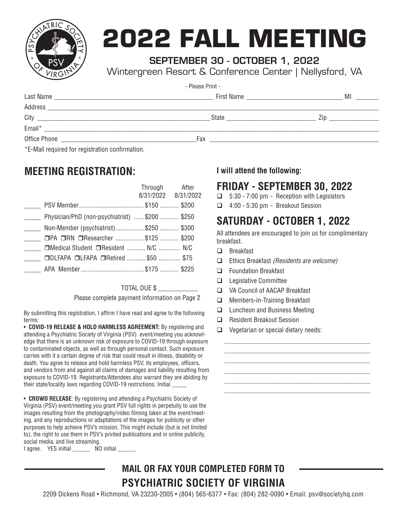

# **2022 FALL MEETING**

#### SEPTEMBER 30 - OCTOBER 1, 2022

Wintergreen Resort & Conference Center | Nellysford, VA

| - Please Print -                                                                                                               |                                                                                                                |                          |  |  |  |
|--------------------------------------------------------------------------------------------------------------------------------|----------------------------------------------------------------------------------------------------------------|--------------------------|--|--|--|
| Last Name                                                                                                                      | First Name                                                                                                     | MI                       |  |  |  |
| Address                                                                                                                        |                                                                                                                |                          |  |  |  |
| City<br><u> 2000 - Jan James James James James James James James James James James James James James James James James Ja</u>  | State and the state of the state of the state of the state of the state of the state of the state of the state | $\angle$ in and $\angle$ |  |  |  |
| Email*<br><u> 1989 - Jan Samuel Barbara, margaret eta bainar hautzar hautzar zuen baina zuen zuen zuen zuen zuen zuen zuen</u> |                                                                                                                |                          |  |  |  |
|                                                                                                                                | Fax                                                                                                            |                          |  |  |  |
| $\star$ $\Gamma$ Meil required for requestration confirmation                                                                  |                                                                                                                |                          |  |  |  |

E-Mail required for registration confirmation.

### **MEETING REGISTRATION:**

|                                                | Through After       |  |
|------------------------------------------------|---------------------|--|
|                                                | 8/31/2022 8/31/2022 |  |
|                                                |                     |  |
| Physician/PhD (non-psychiatrist)  \$200  \$250 |                     |  |
| Non-Member (psychiatrist) \$250  \$300         |                     |  |
| □PA □RN □Researcher \$125  \$200               |                     |  |
| □Medical Student □Resident  N/C  N/C           |                     |  |
| □DLFAPA □LFAPA □Retired  \$50  \$75            |                     |  |
|                                                |                     |  |

TOTAL DUE \$ \_\_\_\_\_\_\_\_\_\_\_\_

Please complete payment information on Page 2

By submitting this registration, I affirm I have read and agree to the following terms:

• **COVID-19 RELEASE & HOLD HARMLESS AGREEMENT:** By registering and attending a Psychiatric Society of Virginia (PSV) event/meeting you acknowledge that there is an unknown risk of exposure to COVID-19 through exposure to contaminated objects, as well as through personal contact. Such exposure carries with it a certain degree of risk that could result in illness, disability or death. You agree to release and hold harmless PSV, its employees, officers, and vendors from and against all claims of damages and liability resulting from exposure to COVID-19. Registrants/Attendees also warrant they are abiding by their state/locality laws regarding COVID-19 restrictions. Initial \_\_\_\_\_

• **CROWD RELEASE**: By registering and attending a Psychiatric Society of Virginia (PSV) event/meeting you grant PSV full rights in perpetuity to use the images resulting from the photography/video filming taken at the event/meeting, and any reproductions or adaptations of the images for publicity or other purposes to help achieve PSV's mission. This might include (but is not limited to), the right to use them in PSV's printed publications and in online publicity, social media, and live streaming.

I agree. YES initial \_\_\_\_\_\_\_ NO initial \_\_\_\_\_

#### **I will attend the following:**

#### **FRIDAY - SEPTEMBER 30, 2022**

- $\Box$  5:30 7:00 pm Reception with Legislators
- q 4:00 5:30 pm Breakout Session

### **SATURDAY - OCTOBER 1, 2022**

All attendees are encouraged to join us for complimentary breakfast.

*\_\_\_\_\_\_\_\_\_\_\_\_\_\_\_\_\_\_\_\_\_\_\_\_\_\_\_\_\_\_\_\_\_\_\_\_\_\_\_\_\_\_\_\_\_\_\_\_\_\_\_\_\_\_\_ \_\_\_\_\_\_\_\_\_\_\_\_\_\_\_\_\_\_\_\_\_\_\_\_\_\_\_\_\_\_\_\_\_\_\_\_\_\_\_\_\_\_\_\_\_\_\_\_\_\_\_\_\_\_\_ \_\_\_\_\_\_\_\_\_\_\_\_\_\_\_\_\_\_\_\_\_\_\_\_\_\_\_\_\_\_\_\_\_\_\_\_\_\_\_\_\_\_\_\_\_\_\_\_\_\_\_\_\_\_\_ \_\_\_\_\_\_\_\_\_\_\_\_\_\_\_\_\_\_\_\_\_\_\_\_\_\_\_\_\_\_\_\_\_\_\_\_\_\_\_\_\_\_\_\_\_\_\_\_\_\_\_\_\_\_\_ \_\_\_\_\_\_\_\_\_\_\_\_\_\_\_\_\_\_\_\_\_\_\_\_\_\_\_\_\_\_\_\_\_\_\_\_\_\_\_\_\_\_\_\_\_\_\_\_\_\_\_\_\_\_\_ \_\_\_\_\_\_\_\_\_\_\_\_\_\_\_\_\_\_\_\_\_\_\_\_\_\_\_\_\_\_\_\_\_\_\_\_\_\_\_\_\_\_\_\_\_\_\_\_\_\_\_\_\_\_\_*

- $\Box$  Breakfast
- q Ethics Breakfast *(Residents are welcome)*
- $\Box$  Foundation Breakfast
- $\Box$  Legislative Committee
- q VA Council of AACAP Breakfast
- □ Members-in-Training Breakfast
- □ Luncheon and Business Meeting
- □ Resident Breakout Session
- $\Box$  Vegetarian or special dietary needs:

## **MAIL OR FAX YOUR COMPLETED FORM TO PSYCHIATRIC SOCIETY OF VIRGINIA**

2209 Dickens Road • Richmond, VA 23230-2005 • (804) 565-6377 • Fax: (804) 282-0090 • Email: psv@societyhq.com